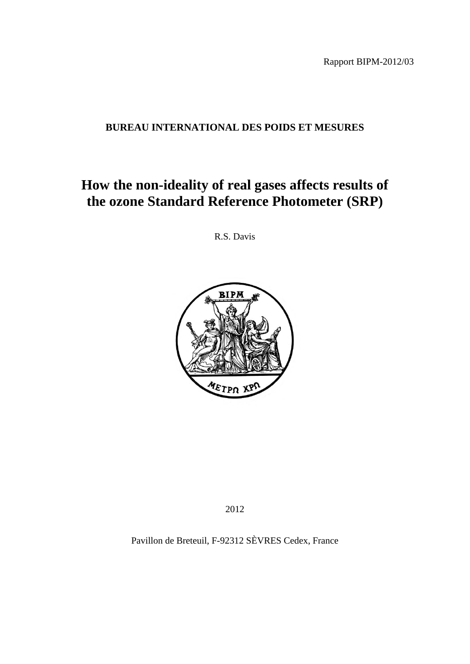Rapport BIPM-2012/03

# **BUREAU INTERNATIONAL DES POIDS ET MESURES**

# **How the non-ideality of real gases affects results of the ozone Standard Reference Photometer (SRP)**

R.S. Davis



2012

Pavillon de Breteuil, F-92312 SÈVRES Cedex, France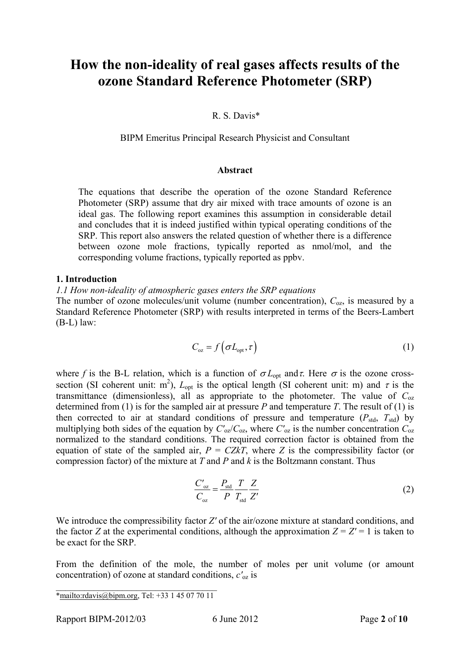# **How the non-ideality of real gases affects results of the ozone Standard Reference Photometer (SRP)**

## R. S. Davis\*

BIPM Emeritus Principal Research Physicist and Consultant

#### **Abstract**

The equations that describe the operation of the ozone Standard Reference Photometer (SRP) assume that dry air mixed with trace amounts of ozone is an ideal gas. The following report examines this assumption in considerable detail and concludes that it is indeed justified within typical operating conditions of the SRP. This report also answers the related question of whether there is a difference between ozone mole fractions, typically reported as nmol/mol, and the corresponding volume fractions, typically reported as ppbv.

#### **1. Introduction**

*1.1 How non-ideality of atmospheric gases enters the SRP equations* 

The number of ozone molecules/unit volume (number concentration),  $C_{oz}$ , is measured by a Standard Reference Photometer (SRP) with results interpreted in terms of the Beers-Lambert (B-L) law:

$$
C_{\text{oz}} = f\left(\sigma L_{\text{opt}}, \tau\right) \tag{1}
$$

where *f* is the B-L relation, which is a function of  $\sigma L_{opt}$  and  $\tau$ . Here  $\sigma$  is the ozone crosssection (SI coherent unit: m<sup>2</sup>),  $L_{opt}$  is the optical length (SI coherent unit: m) and  $\tau$  is the transmittance (dimensionless), all as appropriate to the photometer. The value of  $C_{\alpha z}$ determined from (1) is for the sampled air at pressure  $P$  and temperature  $T$ . The result of (1) is then corrected to air at standard conditions of pressure and temperature  $(P_{std}, T_{std})$  by multiplying both sides of the equation by  $C'_{\text{oZ}}/C_{\text{oZ}}$ , where  $C'_{\text{oZ}}$  is the number concentration  $C_{\text{oZ}}$ normalized to the standard conditions. The required correction factor is obtained from the equation of state of the sampled air,  $P = CZkT$ , where *Z* is the compressibility factor (or compression factor) of the mixture at *T* and *P* and *k* is the Boltzmann constant. Thus

$$
\frac{C'_{oz}}{C_{oz}} = \frac{P_{\text{std}}}{P} \frac{T}{T_{\text{std}}} \frac{Z}{Z'}
$$
 (2)

We introduce the compressibility factor *Z'* of the air/ozone mixture at standard conditions, and the factor *Z* at the experimental conditions, although the approximation  $Z = Z' = 1$  is taken to be exact for the SRP.

From the definition of the mole, the number of moles per unit volume (or amount concentration) of ozone at standard conditions, *c'*oz is

\_\_\_\_\_\_\_\_\_\_\_\_\_\_\_\_\_\_\_\_\_\_\_\_\_\_\_\_\_\_\_\_\_\_ \*mailto:rdavis@bipm.org, Tel: +33 1 45 07 70 11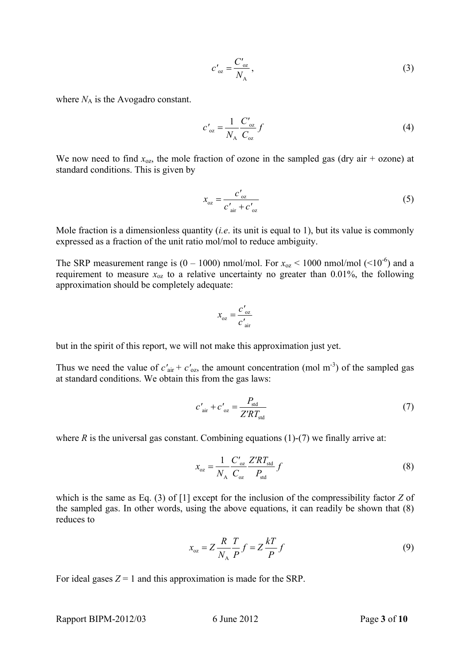$$
c'_{oz} = \frac{C'_{oz}}{N_A},\tag{3}
$$

where  $N_A$  is the Avogadro constant.

$$
c'_{\text{oz}} = \frac{1}{N_{\text{A}}} \frac{C'_{\text{oz}}}{C_{\text{oz}}} f \tag{4}
$$

We now need to find  $x_{\text{o}z}$ , the mole fraction of ozone in the sampled gas (dry air + ozone) at standard conditions. This is given by

$$
x_{oz} = \frac{c'_{oz}}{c'_{air} + c'_{oz}}
$$
 (5)

Mole fraction is a dimensionless quantity (*i.e*. its unit is equal to 1), but its value is commonly expressed as a fraction of the unit ratio mol/mol to reduce ambiguity.

The SRP measurement range is  $(0 - 1000)$  nmol/mol. For  $x_{oz}$  < 1000 nmol/mol (<10<sup>-6</sup>) and a requirement to measure  $x_{oz}$  to a relative uncertainty no greater than 0.01%, the following approximation should be completely adequate:

$$
x_{oz} = \frac{c'_{oz}}{c'_{air}}
$$

but in the spirit of this report, we will not make this approximation just yet.

Thus we need the value of  $c'_{air} + c'_{oz}$ , the amount concentration (mol m<sup>-3</sup>) of the sampled gas at standard conditions. We obtain this from the gas laws:

$$
c'_{\text{air}} + c'_{\text{oz}} = \frac{P_{\text{std}}}{Z'RT_{\text{std}}}
$$
 (7)

where  $R$  is the universal gas constant. Combining equations (1)-(7) we finally arrive at:

$$
x_{oz} = \frac{1}{N_A} \frac{C'_{oz}}{C_{oz}} \frac{Z'RT_{std}}{P_{std}} f
$$
 (8)

which is the same as Eq. (3) of [1] except for the inclusion of the compressibility factor *Z* of the sampled gas. In other words, using the above equations, it can readily be shown that (8) reduces to

$$
x_{oz} = Z \frac{R}{N_A} \frac{T}{P} f = Z \frac{kT}{P} f \tag{9}
$$

For ideal gases  $Z = 1$  and this approximation is made for the SRP.

Rapport BIPM-2012/03 6 June 2012 Page **3** of **10**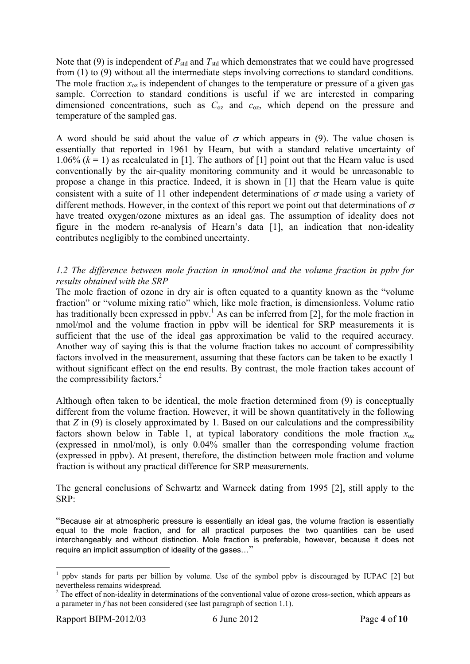Note that (9) is independent of  $P_{std}$  and  $T_{std}$  which demonstrates that we could have progressed from (1) to (9) without all the intermediate steps involving corrections to standard conditions. The mole fraction  $x_{\text{oz}}$  is independent of changes to the temperature or pressure of a given gas sample. Correction to standard conditions is useful if we are interested in comparing dimensioned concentrations, such as *C*oz and *c*oz, which depend on the pressure and temperature of the sampled gas.

A word should be said about the value of  $\sigma$  which appears in (9). The value chosen is essentially that reported in 1961 by Hearn, but with a standard relative uncertainty of 1.06%  $(k = 1)$  as recalculated in [1]. The authors of [1] point out that the Hearn value is used conventionally by the air-quality monitoring community and it would be unreasonable to propose a change in this practice. Indeed, it is shown in [1] that the Hearn value is quite consistent with a suite of 11 other independent determinations of  $\sigma$  made using a variety of different methods. However, in the context of this report we point out that determinations of  $\sigma$ have treated oxygen/ozone mixtures as an ideal gas. The assumption of ideality does not figure in the modern re-analysis of Hearn's data [1], an indication that non-ideality contributes negligibly to the combined uncertainty.

# *1.2 The difference between mole fraction in nmol/mol and the volume fraction in ppbv for results obtained with the SRP*

The mole fraction of ozone in dry air is often equated to a quantity known as the "volume" fraction" or "volume mixing ratio" which, like mole fraction, is dimensionless. Volume ratio has traditionally been expressed in ppbv.<sup>1</sup> As can be inferred from [2], for the mole fraction in nmol/mol and the volume fraction in ppbv will be identical for SRP measurements it is sufficient that the use of the ideal gas approximation be valid to the required accuracy. Another way of saying this is that the volume fraction takes no account of compressibility factors involved in the measurement, assuming that these factors can be taken to be exactly 1 without significant effect on the end results. By contrast, the mole fraction takes account of the compressibility factors. $^{2}$ 

Although often taken to be identical, the mole fraction determined from (9) is conceptually different from the volume fraction. However, it will be shown quantitatively in the following that *Z* in (9) is closely approximated by 1. Based on our calculations and the compressibility factors shown below in Table 1, at typical laboratory conditions the mole fraction  $x_{0z}$ (expressed in nmol/mol), is only 0.04% smaller than the corresponding volume fraction (expressed in ppbv). At present, therefore, the distinction between mole fraction and volume fraction is without any practical difference for SRP measurements.

The general conclusions of Schwartz and Warneck dating from 1995 [2], still apply to the SRP:

"Because air at atmospheric pressure is essentially an ideal gas, the volume fraction is essentially equal to the mole fraction, and for all practical purposes the two quantities can be used interchangeably and without distinction. Mole fraction is preferable, however, because it does not require an implicit assumption of ideality of the gases…"

<u>.</u>

<sup>&</sup>lt;sup>1</sup> ppbv stands for parts per billion by volume. Use of the symbol ppbv is discouraged by IUPAC [2] but nevertheless remains widespread.

 $2^2$  The effect of non-ideality in determinations of the conventional value of ozone cross-section, which appears as a parameter in *f* has not been considered (see last paragraph of section 1.1).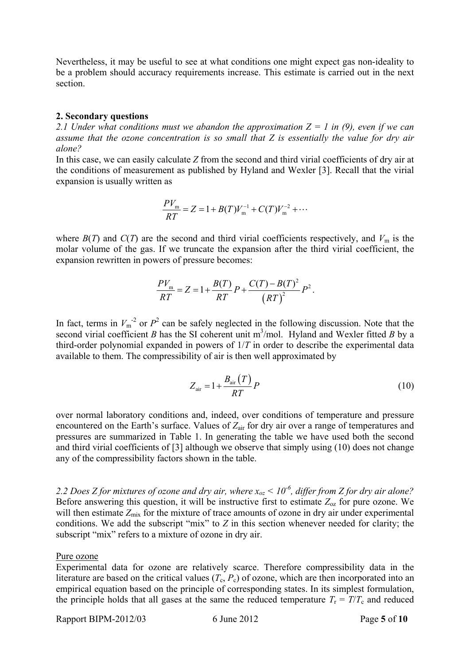Nevertheless, it may be useful to see at what conditions one might expect gas non-ideality to be a problem should accuracy requirements increase. This estimate is carried out in the next section.

## **2. Secondary questions**

*2.1 Under what conditions must we abandon the approximation Z = 1 in (9), even if we can assume that the ozone concentration is so small that Z is essentially the value for dry air alone?* 

In this case, we can easily calculate *Z* from the second and third virial coefficients of dry air at the conditions of measurement as published by Hyland and Wexler [3]. Recall that the virial expansion is usually written as

$$
\frac{PV_{\rm m}}{RT} = Z = 1 + B(T)V_{\rm m}^{-1} + C(T)V_{\rm m}^{-2} + \cdots
$$

where  $B(T)$  and  $C(T)$  are the second and third virial coefficients respectively, and  $V_m$  is the molar volume of the gas. If we truncate the expansion after the third virial coefficient, the expansion rewritten in powers of pressure becomes:

$$
\frac{PV_{\rm m}}{RT} = Z = 1 + \frac{B(T)}{RT}P + \frac{C(T) - B(T)^2}{(RT)^2}P^2.
$$

In fact, terms in  $V_m^2$  or  $P^2$  can be safely neglected in the following discussion. Note that the second virial coefficient *B* has the SI coherent unit  $m^3$ /mol. Hyland and Wexler fitted *B* by a third-order polynomial expanded in powers of 1/*T* in order to describe the experimental data available to them. The compressibility of air is then well approximated by

$$
Z_{\text{air}} = 1 + \frac{B_{\text{air}}(T)}{RT}P\tag{10}
$$

over normal laboratory conditions and, indeed, over conditions of temperature and pressure encountered on the Earth's surface. Values of  $Z_{\text{air}}$  for dry air over a range of temperatures and pressures are summarized in Table 1. In generating the table we have used both the second and third virial coefficients of [3] although we observe that simply using (10) does not change any of the compressibility factors shown in the table.

*2.2 Does Z for mixtures of ozone and dry air, where xoz < 10-6, differ from Z for dry air alone?*  Before answering this question, it will be instructive first to estimate  $Z_{oz}$  for pure ozone. We will then estimate  $Z_{mix}$  for the mixture of trace amounts of ozone in dry air under experimental conditions. We add the subscript "mix" to *Z* in this section whenever needed for clarity; the subscript "mix" refers to a mixture of ozone in dry air.

### Pure ozone

Experimental data for ozone are relatively scarce. Therefore compressibility data in the literature are based on the critical values  $(T_c, P_c)$  of ozone, which are then incorporated into an empirical equation based on the principle of corresponding states. In its simplest formulation, the principle holds that all gases at the same the reduced temperature  $T_r = T/T_c$  and reduced

Rapport BIPM-2012/03 6 June 2012 Page **5** of **10**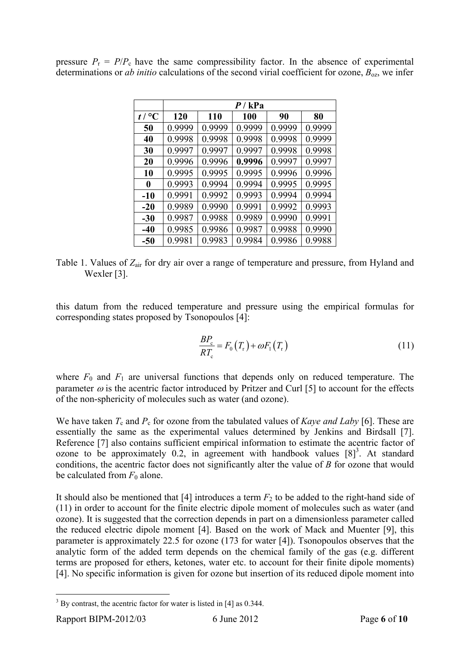|                   | P / kPa |        |        |        |        |
|-------------------|---------|--------|--------|--------|--------|
| $t / {}^{\circ}C$ | 120     | 110    | 100    | 90     | 80     |
| 50                | 0.9999  | 0.9999 | 0.9999 | 0.9999 | 0.9999 |
| 40                | 0.9998  | 0.9998 | 0.9998 | 0.9998 | 0.9999 |
| 30                | 0.9997  | 0.9997 | 0.9997 | 0.9998 | 0.9998 |
| 20                | 0.9996  | 0.9996 | 0.9996 | 0.9997 | 0.9997 |
| 10                | 0.9995  | 0.9995 | 0.9995 | 0.9996 | 0.9996 |
| 0                 | 0.9993  | 0.9994 | 0.9994 | 0.9995 | 0.9995 |
| $-10$             | 0.9991  | 0.9992 | 0.9993 | 0.9994 | 0.9994 |
| $-20$             | 0.9989  | 0.9990 | 0.9991 | 0.9992 | 0.9993 |
| $-30$             | 0.9987  | 0.9988 | 0.9989 | 0.9990 | 0.9991 |
| $-40$             | 0.9985  | 0.9986 | 0.9987 | 0.9988 | 0.9990 |
| $-50$             | 0.9981  | 0.9983 | 0.9984 | 0.9986 | 0.9988 |

pressure  $P_r = P/P_c$  have the same compressibility factor. In the absence of experimental determinations or *ab initio* calculations of the second virial coefficient for ozone,  $B_{oz}$ , we infer

Table 1. Values of *Z*air for dry air over a range of temperature and pressure, from Hyland and Wexler [3].

this datum from the reduced temperature and pressure using the empirical formulas for corresponding states proposed by Tsonopoulos [4]:

$$
\frac{BP_c}{RT_c} = F_0(T_r) + \omega F_1(T_r)
$$
\n(11)

where  $F_0$  and  $F_1$  are universal functions that depends only on reduced temperature. The parameter  $\omega$  is the acentric factor introduced by Pritzer and Curl [5] to account for the effects of the non-sphericity of molecules such as water (and ozone).

We have taken  $T_c$  and  $P_c$  for ozone from the tabulated values of *Kaye and Laby* [6]. These are essentially the same as the experimental values determined by Jenkins and Birdsall [7]. Reference [7] also contains sufficient empirical information to estimate the acentric factor of ozone to be approximately 0.2, in agreement with handbook values  $[8]^3$ . At standard conditions, the acentric factor does not significantly alter the value of *B* for ozone that would be calculated from  $F_0$  alone.

It should also be mentioned that [4] introduces a term  $F_2$  to be added to the right-hand side of (11) in order to account for the finite electric dipole moment of molecules such as water (and ozone). It is suggested that the correction depends in part on a dimensionless parameter called the reduced electric dipole moment [4]. Based on the work of Mack and Muenter [9], this parameter is approximately 22.5 for ozone (173 for water [4]). Tsonopoulos observes that the analytic form of the added term depends on the chemical family of the gas (e.g. different terms are proposed for ethers, ketones, water etc. to account for their finite dipole moments) [4]. No specific information is given for ozone but insertion of its reduced dipole moment into

<sup>&</sup>lt;sup>3</sup> By contrast, the acentric factor for water is listed in [4] as 0.344.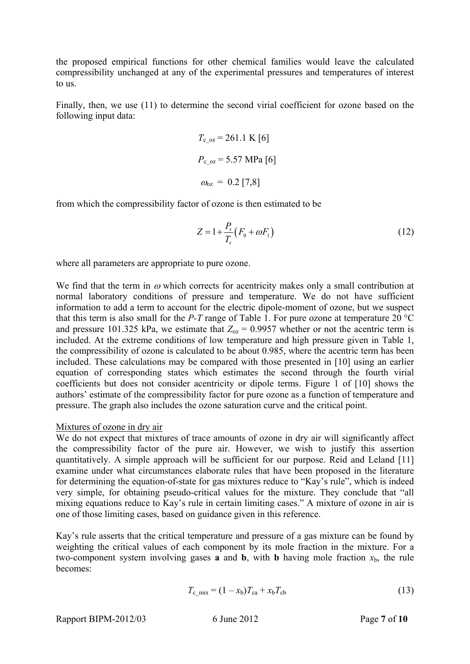the proposed empirical functions for other chemical families would leave the calculated compressibility unchanged at any of the experimental pressures and temperatures of interest to us.

Finally, then, we use (11) to determine the second virial coefficient for ozone based on the following input data:

$$
T_{c_0z} = 261.1 \text{ K} [6]
$$

$$
P_{c_0z} = 5.57 \text{ MPa} [6]
$$

$$
\omega_{oz} = 0.2 [7,8]
$$

from which the compressibility factor of ozone is then estimated to be

$$
Z = 1 + \frac{P_{\rm r}}{T_{\rm r}} \left( F_{\rm 0} + \omega F_{\rm 1} \right) \tag{12}
$$

where all parameters are appropriate to pure ozone.

We find that the term in  $\omega$  which corrects for acentricity makes only a small contribution at normal laboratory conditions of pressure and temperature. We do not have sufficient information to add a term to account for the electric dipole-moment of ozone, but we suspect that this term is also small for the *P-T* range of Table 1. For pure ozone at temperature 20 °C and pressure 101.325 kPa, we estimate that  $Z_{oz} = 0.9957$  whether or not the acentric term is included. At the extreme conditions of low temperature and high pressure given in Table 1, the compressibility of ozone is calculated to be about 0.985, where the acentric term has been included. These calculations may be compared with those presented in [10] using an earlier equation of corresponding states which estimates the second through the fourth virial coefficients but does not consider acentricity or dipole terms. Figure 1 of [10] shows the authors' estimate of the compressibility factor for pure ozone as a function of temperature and pressure. The graph also includes the ozone saturation curve and the critical point.

# Mixtures of ozone in dry air

We do not expect that mixtures of trace amounts of ozone in dry air will significantly affect the compressibility factor of the pure air. However, we wish to justify this assertion quantitatively. A simple approach will be sufficient for our purpose. Reid and Leland [11] examine under what circumstances elaborate rules that have been proposed in the literature for determining the equation-of-state for gas mixtures reduce to "Kay's rule", which is indeed very simple, for obtaining pseudo-critical values for the mixture. They conclude that "all mixing equations reduce to Kay's rule in certain limiting cases." A mixture of ozone in air is one of those limiting cases, based on guidance given in this reference.

Kay's rule asserts that the critical temperature and pressure of a gas mixture can be found by weighting the critical values of each component by its mole fraction in the mixture. For a two-component system involving gases **a** and **b**, with **b** having mole fraction  $x<sub>b</sub>$ , the rule becomes:

$$
T_{c\_mix} = (1 - x_b)T_{ca} + x_b T_{cb}
$$
 (13)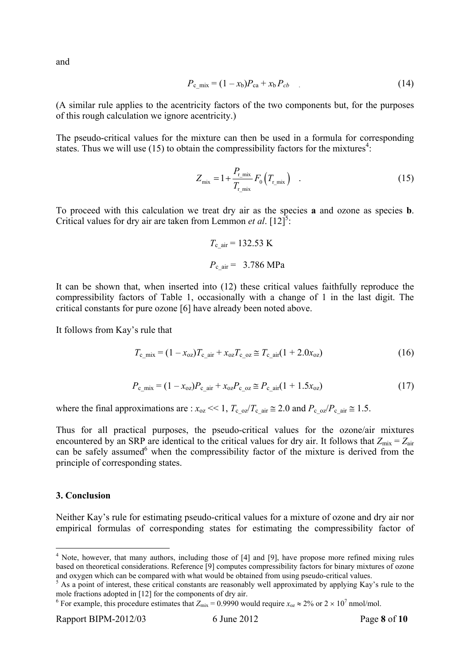and

$$
P_{c\_mix} = (1 - x_b)P_{ca} + x_b P_{cb} \tag{14}
$$

(A similar rule applies to the acentricity factors of the two components but, for the purposes of this rough calculation we ignore acentricity.)

The pseudo-critical values for the mixture can then be used in a formula for corresponding states. Thus we will use  $(15)$  to obtain the compressibility factors for the mixtures<sup>4</sup>:

$$
Z_{\text{mix}} = 1 + \frac{P_{r_{\text{mix}}}}{T_{r_{\text{mix}}}} F_0 \left( T_{r_{\text{mix}}} \right) \quad . \tag{15}
$$

To proceed with this calculation we treat dry air as the species **a** and ozone as species **b**. Critical values for dry air are taken from Lemmon *et al.*  $[12]$ <sup>5</sup>:

$$
T_{\text{c\_air}} = 132.53 \text{ K}
$$

$$
P_{\text{c\_air}} = 3.786 \text{ MPa}
$$

It can be shown that, when inserted into (12) these critical values faithfully reproduce the compressibility factors of Table 1, occasionally with a change of 1 in the last digit. The critical constants for pure ozone [6] have already been noted above.

It follows from Kay's rule that

$$
T_{\rm c\_mix} = (1 - x_{\rm oz}) T_{\rm c\_air} + x_{\rm oz} T_{\rm c\_oz} \cong T_{\rm c\_air} (1 + 2.0 x_{\rm oz}) \tag{16}
$$

$$
P_{\rm c\_mix} = (1 - x_{\rm oz}) P_{\rm c\_air} + x_{\rm oz} P_{\rm c\_oz} \cong P_{\rm c\_air} (1 + 1.5 x_{\rm oz}) \tag{17}
$$

where the final approximations are :  $x_{oz} \ll 1$ ,  $T_c$   $_{oz}/T_c$  air  $\approx 2.0$  and  $P_c$   $_{oz}/P_c$  air  $\approx 1.5$ .

Thus for all practical purposes, the pseudo-critical values for the ozone/air mixtures encountered by an SRP are identical to the critical values for dry air. It follows that  $Z_{\text{mix}} = Z_{\text{air}}$ can be safely assumed<sup>6</sup> when the compressibility factor of the mixture is derived from the principle of corresponding states.

#### **3. Conclusion**

1

Neither Kay's rule for estimating pseudo-critical values for a mixture of ozone and dry air nor empirical formulas of corresponding states for estimating the compressibility factor of

<sup>&</sup>lt;sup>4</sup> Note, however, that many authors, including those of [4] and [9], have propose more refined mixing rules based on theoretical considerations. Reference [9] computes compressibility factors for binary mixtures of ozone and oxygen which can be compared with what would be obtained from using pseudo-critical values.

<sup>&</sup>lt;sup>5</sup> As a point of interest, these critical constants are reasonably well approximated by applying Kay's rule to the mole fractions adopted in [12] for the components of dry air.

<sup>&</sup>lt;sup>6</sup> For example, this procedure estimates that  $Z_{mix} = 0.9990$  would require  $x_{oz} \approx 2\%$  or  $2 \times 10^7$  nmol/mol.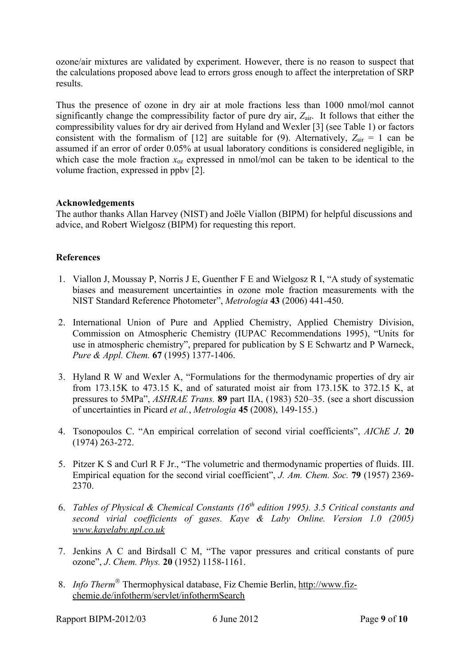ozone/air mixtures are validated by experiment. However, there is no reason to suspect that the calculations proposed above lead to errors gross enough to affect the interpretation of SRP results.

Thus the presence of ozone in dry air at mole fractions less than 1000 nmol/mol cannot significantly change the compressibility factor of pure dry air,  $Z_{air}$ . It follows that either the compressibility values for dry air derived from Hyland and Wexler [3] (see Table 1) or factors consistent with the formalism of [12] are suitable for (9). Alternatively,  $Z_{\text{air}} = 1$  can be assumed if an error of order 0.05% at usual laboratory conditions is considered negligible, in which case the mole fraction  $x_{\text{o}z}$  expressed in nmol/mol can be taken to be identical to the volume fraction, expressed in ppbv [2].

# **Acknowledgements**

The author thanks Allan Harvey (NIST) and Joële Viallon (BIPM) for helpful discussions and advice, and Robert Wielgosz (BIPM) for requesting this report.

# **References**

- 1. Viallon J, Moussay P, Norris J E, Guenther F E and Wielgosz R I, "A study of systematic biases and measurement uncertainties in ozone mole fraction measurements with the NIST Standard Reference Photometer", *Metrologia* **43** (2006) 441-450.
- 2. International Union of Pure and Applied Chemistry, Applied Chemistry Division, Commission on Atmospheric Chemistry (IUPAC Recommendations 1995), "Units for use in atmospheric chemistry", prepared for publication by S E Schwartz and P Warneck, *Pure & Appl. Chem.* **67** (1995) 1377-1406.
- 3. Hyland R W and Wexler A, "Formulations for the thermodynamic properties of dry air from 173.15K to 473.15 K, and of saturated moist air from 173.15K to 372.15 K, at pressures to 5MPa", *ASHRAE Trans.* **89** part IIA, (1983) 520–35. (see a short discussion of uncertainties in Picard *et al.*, *Metrologia* **45** (2008), 149-155.)
- 4. Tsonopoulos C. "An empirical correlation of second virial coefficients", *AIChE J*. **20**  (1974) 263-272.
- 5. Pitzer K S and Curl R F Jr., "The volumetric and thermodynamic properties of fluids. III. Empirical equation for the second virial coefficient", *J. Am. Chem. Soc.* **79** (1957) 2369- 2370.
- 6. *Tables of Physical & Chemical Constants (16th edition 1995). 3.5 Critical constants and second virial coefficients of gases. Kaye & Laby Online. Version 1.0 (2005) www.kayelaby.npl.co.uk*
- 7. Jenkins A C and Birdsall C M, "The vapor pressures and critical constants of pure ozone", *J*. *Chem. Phys.* **20** (1952) 1158-1161.
- 8. *Info Therm*<sup>®</sup> Thermophysical database, Fiz Chemie Berlin, http://www.fizchemie.de/infotherm/servlet/infothermSearch